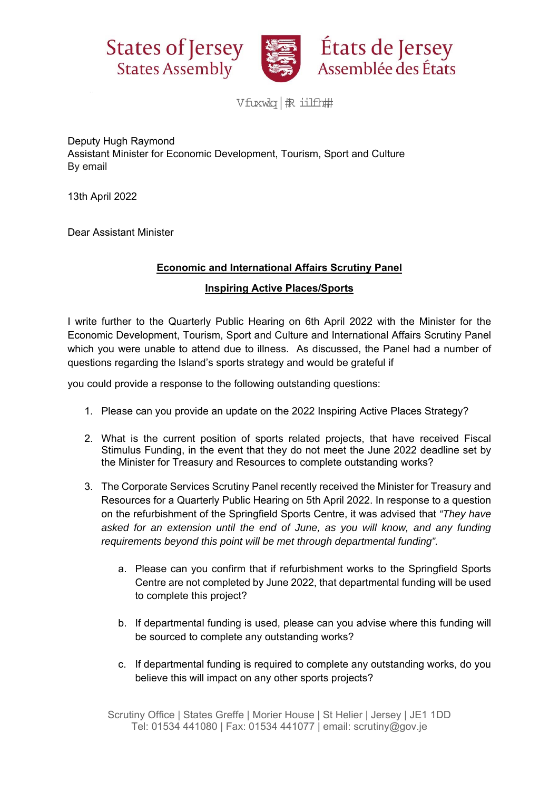



États de Jersey Assemblée des États

Vfuxwlq | 报 iilfh##

Deputy Hugh Raymond Assistant Minister for Economic Development, Tourism, Sport and Culture By email

13th April 2022

Dear Assistant Minister

## **Economic and International Affairs Scrutiny Panel**

## **Inspiring Active Places/Sports**

I write further to the Quarterly Public Hearing on 6th April 2022 with the Minister for the Economic Development, Tourism, Sport and Culture and International Affairs Scrutiny Panel which you were unable to attend due to illness. As discussed, the Panel had a number of questions regarding the Island's sports strategy and would be grateful if

you could provide a response to the following outstanding questions:

- 1. Please can you provide an update on the 2022 Inspiring Active Places Strategy?
- 2. What is the current position of sports related projects, that have received Fiscal Stimulus Funding, in the event that they do not meet the June 2022 deadline set by the Minister for Treasury and Resources to complete outstanding works?
- 3. The Corporate Services Scrutiny Panel recently received the Minister for Treasury and Resources for a Quarterly Public Hearing on 5th April 2022. In response to a question on the refurbishment of the Springfield Sports Centre, it was advised that *"They have*  asked for an extension until the end of June, as you will know, and any funding *requirements beyond this point will be met through departmental funding".*
	- a. Please can you confirm that if refurbishment works to the Springfield Sports Centre are not completed by June 2022, that departmental funding will be used to complete this project?
	- b. If departmental funding is used, please can you advise where this funding will be sourced to complete any outstanding works?
	- c. If departmental funding is required to complete any outstanding works, do you believe this will impact on any other sports projects?

Scrutiny Office | States Greffe | Morier House | St Helier | Jersey | JE1 1DD Tel: 01534 441080 | Fax: 01534 441077 | email: scrutiny@gov.je